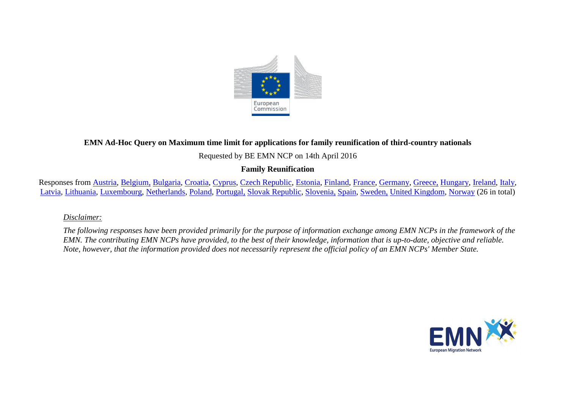

## **EMN Ad-Hoc Query on Maximum time limit for applications for family reunification of third-country nationals**

#### Requested by BE EMN NCP on 14th April 2016

## **Family Reunification**

Responses from [Austria,](#page-1-0) [Belgium,](#page-1-1) [Bulgaria,](#page-1-2) [Croatia,](#page-2-0) [Cyprus,](#page-2-1) [Czech Republic,](#page-2-2) [Estonia,](#page-3-0) [Finland,](#page-3-1) [France,](#page-3-2) [Germany,](#page-4-0) [Greece,](#page-4-1) [Hungary,](#page-4-2) [Ireland,](#page-4-3) [Italy,](#page-4-4) [Latvia,](#page-5-0) [Lithuania,](#page-5-1) [Luxembourg,](#page-6-0) [Netherlands,](#page-6-1) [Poland,](#page-6-2) [Portugal,](#page-7-0) [Slovak Republic,](#page-7-1) [Slovenia,](#page-7-2) [Spain,](#page-7-3) [Sweden,](#page-7-4) [United Kingdom,](#page-8-0) [Norway](#page-8-1) (26 in total)

#### *Disclaimer:*

*The following responses have been provided primarily for the purpose of information exchange among EMN NCPs in the framework of the EMN. The contributing EMN NCPs have provided, to the best of their knowledge, information that is up-to-date, objective and reliable. Note, however, that the information provided does not necessarily represent the official policy of an EMN NCPs' Member State.*

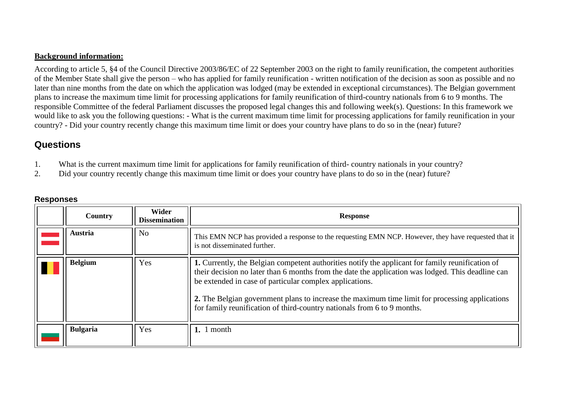#### **Background information:**

According to article 5, §4 of the Council Directive 2003/86/EC of 22 September 2003 on the right to family reunification, the competent authorities of the Member State shall give the person – who has applied for family reunification - written notification of the decision as soon as possible and no later than nine months from the date on which the application was lodged (may be extended in exceptional circumstances). The Belgian government plans to increase the maximum time limit for processing applications for family reunification of third-country nationals from 6 to 9 months. The responsible Committee of the federal Parliament discusses the proposed legal changes this and following week(s). Questions: In this framework we would like to ask you the following questions: - What is the current maximum time limit for processing applications for family reunification in your country? - Did your country recently change this maximum time limit or does your country have plans to do so in the (near) future?

# **Questions**

- 1. What is the current maximum time limit for applications for family reunification of third- country nationals in your country?
- 2. Did your country recently change this maximum time limit or does your country have plans to do so in the (near) future?

<span id="page-1-2"></span><span id="page-1-1"></span><span id="page-1-0"></span>

| Country         | Wider<br><b>Dissemination</b> | <b>Response</b>                                                                                                                                                                                                                                                                                                                                                    |
|-----------------|-------------------------------|--------------------------------------------------------------------------------------------------------------------------------------------------------------------------------------------------------------------------------------------------------------------------------------------------------------------------------------------------------------------|
| Austria         | <b>No</b>                     | This EMN NCP has provided a response to the requesting EMN NCP. However, they have requested that it<br>is not disseminated further.                                                                                                                                                                                                                               |
| <b>Belgium</b>  | Yes                           | 1. Currently, the Belgian competent authorities notify the applicant for family reunification of<br>their decision no later than 6 months from the date the application was lodged. This deadline can<br>be extended in case of particular complex applications.<br>2. The Belgian government plans to increase the maximum time limit for processing applications |
|                 |                               | for family reunification of third-country nationals from 6 to 9 months.                                                                                                                                                                                                                                                                                            |
| <b>Bulgaria</b> | Yes                           | 1. $1$ month                                                                                                                                                                                                                                                                                                                                                       |

### **Responses**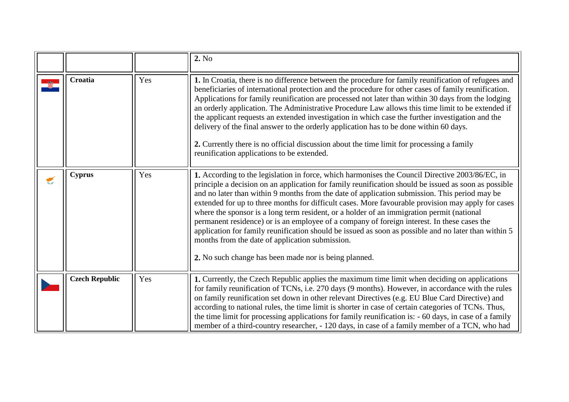<span id="page-2-2"></span><span id="page-2-1"></span><span id="page-2-0"></span>

|   |                       |     | 2. No                                                                                                                                                                                                                                                                                                                                                                                                                                                                                                                                                                                                                                                                                                                                                                                                                          |
|---|-----------------------|-----|--------------------------------------------------------------------------------------------------------------------------------------------------------------------------------------------------------------------------------------------------------------------------------------------------------------------------------------------------------------------------------------------------------------------------------------------------------------------------------------------------------------------------------------------------------------------------------------------------------------------------------------------------------------------------------------------------------------------------------------------------------------------------------------------------------------------------------|
|   | Croatia               | Yes | 1. In Croatia, there is no difference between the procedure for family reunification of refugees and<br>beneficiaries of international protection and the procedure for other cases of family reunification.<br>Applications for family reunification are processed not later than within 30 days from the lodging<br>an orderly application. The Administrative Procedure Law allows this time limit to be extended if<br>the applicant requests an extended investigation in which case the further investigation and the<br>delivery of the final answer to the orderly application has to be done within 60 days.<br>2. Currently there is no official discussion about the time limit for processing a family<br>reunification applications to be extended.                                                               |
| € | <b>Cyprus</b>         | Yes | 1. According to the legislation in force, which harmonises the Council Directive 2003/86/EC, in<br>principle a decision on an application for family reunification should be issued as soon as possible<br>and no later than within 9 months from the date of application submission. This period may be<br>extended for up to three months for difficult cases. More favourable provision may apply for cases<br>where the sponsor is a long term resident, or a holder of an immigration permit (national<br>permanent residence) or is an employee of a company of foreign interest. In these cases the<br>application for family reunification should be issued as soon as possible and no later than within 5<br>months from the date of application submission.<br>2. No such change has been made nor is being planned. |
|   | <b>Czech Republic</b> | Yes | 1. Currently, the Czech Republic applies the maximum time limit when deciding on applications<br>for family reunification of TCNs, i.e. 270 days (9 months). However, in accordance with the rules<br>on family reunification set down in other relevant Directives (e.g. EU Blue Card Directive) and<br>according to national rules, the time limit is shorter in case of certain categories of TCNs. Thus,<br>the time limit for processing applications for family reunification is: - 60 days, in case of a family<br>member of a third-country researcher, - 120 days, in case of a family member of a TCN, who had                                                                                                                                                                                                       |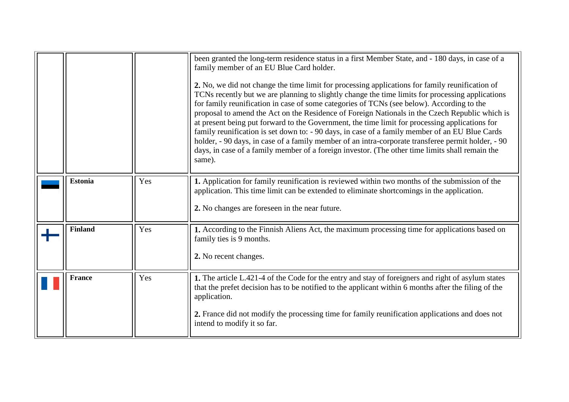<span id="page-3-2"></span><span id="page-3-1"></span><span id="page-3-0"></span>

|                |     | been granted the long-term residence status in a first Member State, and - 180 days, in case of a<br>family member of an EU Blue Card holder.<br>2. No, we did not change the time limit for processing applications for family reunification of<br>TCNs recently but we are planning to slightly change the time limits for processing applications<br>for family reunification in case of some categories of TCNs (see below). According to the<br>proposal to amend the Act on the Residence of Foreign Nationals in the Czech Republic which is<br>at present being put forward to the Government, the time limit for processing applications for<br>family reunification is set down to: - 90 days, in case of a family member of an EU Blue Cards<br>holder, - 90 days, in case of a family member of an intra-corporate transferee permit holder, - 90<br>days, in case of a family member of a foreign investor. (The other time limits shall remain the<br>same). |
|----------------|-----|----------------------------------------------------------------------------------------------------------------------------------------------------------------------------------------------------------------------------------------------------------------------------------------------------------------------------------------------------------------------------------------------------------------------------------------------------------------------------------------------------------------------------------------------------------------------------------------------------------------------------------------------------------------------------------------------------------------------------------------------------------------------------------------------------------------------------------------------------------------------------------------------------------------------------------------------------------------------------|
| <b>Estonia</b> | Yes | 1. Application for family reunification is reviewed within two months of the submission of the<br>application. This time limit can be extended to eliminate shortcomings in the application.<br>2. No changes are foreseen in the near future.                                                                                                                                                                                                                                                                                                                                                                                                                                                                                                                                                                                                                                                                                                                             |
| <b>Finland</b> | Yes | 1. According to the Finnish Aliens Act, the maximum processing time for applications based on<br>family ties is 9 months.<br>2. No recent changes.                                                                                                                                                                                                                                                                                                                                                                                                                                                                                                                                                                                                                                                                                                                                                                                                                         |
| <b>France</b>  | Yes | 1. The article L.421-4 of the Code for the entry and stay of foreigners and right of asylum states<br>that the prefet decision has to be notified to the applicant within 6 months after the filing of the<br>application.<br>2. France did not modify the processing time for family reunification applications and does not<br>intend to modify it so far.                                                                                                                                                                                                                                                                                                                                                                                                                                                                                                                                                                                                               |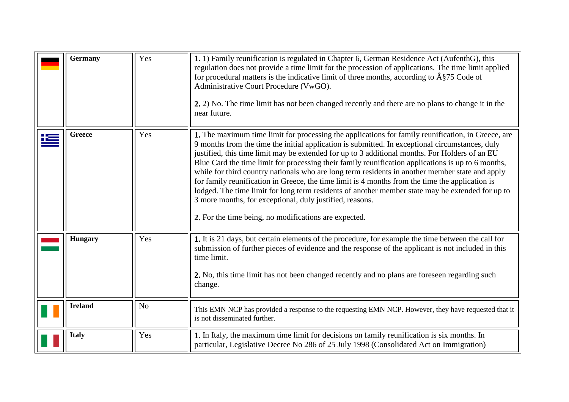<span id="page-4-4"></span><span id="page-4-3"></span><span id="page-4-2"></span><span id="page-4-1"></span><span id="page-4-0"></span>

|   | <b>Germany</b> | Yes            | 1. 1) Family reunification is regulated in Chapter 6, German Residence Act (AufenthG), this<br>regulation does not provide a time limit for the procession of applications. The time limit applied<br>for procedural matters is the indicative limit of three months, according to $\hat{A}\$ 75 Code of<br>Administrative Court Procedure (VwGO).<br>2. 2) No. The time limit has not been changed recently and there are no plans to change it in the<br>near future.                                                                                                                                                                                                                                                                                                                                                                      |
|---|----------------|----------------|----------------------------------------------------------------------------------------------------------------------------------------------------------------------------------------------------------------------------------------------------------------------------------------------------------------------------------------------------------------------------------------------------------------------------------------------------------------------------------------------------------------------------------------------------------------------------------------------------------------------------------------------------------------------------------------------------------------------------------------------------------------------------------------------------------------------------------------------|
| Ľ | <b>Greece</b>  | Yes            | 1. The maximum time limit for processing the applications for family reunification, in Greece, are<br>9 months from the time the initial application is submitted. In exceptional circumstances, duly<br>justified, this time limit may be extended for up to 3 additional months. For Holders of an EU<br>Blue Card the time limit for processing their family reunification applications is up to 6 months,<br>while for third country nationals who are long term residents in another member state and apply<br>for family reunification in Greece, the time limit is 4 months from the time the application is<br>lodged. The time limit for long term residents of another member state may be extended for up to<br>3 more months, for exceptional, duly justified, reasons.<br>2. For the time being, no modifications are expected. |
|   | <b>Hungary</b> | Yes            | 1. It is 21 days, but certain elements of the procedure, for example the time between the call for<br>submission of further pieces of evidence and the response of the applicant is not included in this<br>time limit.<br>2. No, this time limit has not been changed recently and no plans are foreseen regarding such<br>change.                                                                                                                                                                                                                                                                                                                                                                                                                                                                                                          |
|   | <b>Ireland</b> | N <sub>o</sub> | This EMN NCP has provided a response to the requesting EMN NCP. However, they have requested that it<br>is not disseminated further.                                                                                                                                                                                                                                                                                                                                                                                                                                                                                                                                                                                                                                                                                                         |
|   | <b>Italy</b>   | Yes            | 1. In Italy, the maximum time limit for decisions on family reunification is six months. In<br>particular, Legislative Decree No 286 of 25 July 1998 (Consolidated Act on Immigration)                                                                                                                                                                                                                                                                                                                                                                                                                                                                                                                                                                                                                                                       |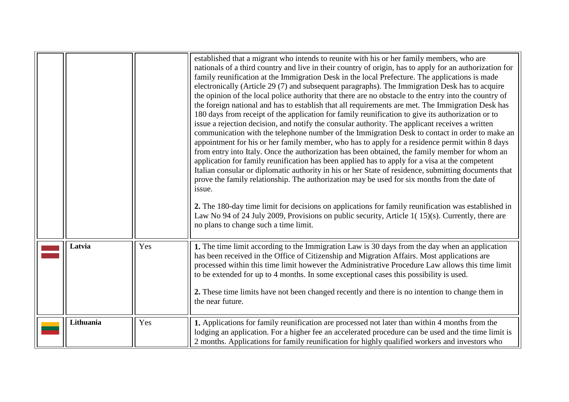<span id="page-5-1"></span><span id="page-5-0"></span>

|           |     | established that a migrant who intends to reunite with his or her family members, who are<br>nationals of a third country and live in their country of origin, has to apply for an authorization for<br>family reunification at the Immigration Desk in the local Prefecture. The applications is made<br>electronically (Article 29 (7) and subsequent paragraphs). The Immigration Desk has to acquire<br>the opinion of the local police authority that there are no obstacle to the entry into the country of<br>the foreign national and has to establish that all requirements are met. The Immigration Desk has<br>180 days from receipt of the application for family reunification to give its authorization or to<br>issue a rejection decision, and notify the consular authority. The applicant receives a written<br>communication with the telephone number of the Immigration Desk to contact in order to make an<br>appointment for his or her family member, who has to apply for a residence permit within 8 days<br>from entry into Italy. Once the authorization has been obtained, the family member for whom an<br>application for family reunification has been applied has to apply for a visa at the competent<br>Italian consular or diplomatic authority in his or her State of residence, submitting documents that<br>prove the family relationship. The authorization may be used for six months from the date of<br>issue.<br>2. The 180-day time limit for decisions on applications for family reunification was established in<br>Law No 94 of 24 July 2009, Provisions on public security, Article 1(15)(s). Currently, there are<br>no plans to change such a time limit. |
|-----------|-----|---------------------------------------------------------------------------------------------------------------------------------------------------------------------------------------------------------------------------------------------------------------------------------------------------------------------------------------------------------------------------------------------------------------------------------------------------------------------------------------------------------------------------------------------------------------------------------------------------------------------------------------------------------------------------------------------------------------------------------------------------------------------------------------------------------------------------------------------------------------------------------------------------------------------------------------------------------------------------------------------------------------------------------------------------------------------------------------------------------------------------------------------------------------------------------------------------------------------------------------------------------------------------------------------------------------------------------------------------------------------------------------------------------------------------------------------------------------------------------------------------------------------------------------------------------------------------------------------------------------------------------------------------------------------------------------------------------------|
| Latvia    | Yes | 1. The time limit according to the Immigration Law is 30 days from the day when an application<br>has been received in the Office of Citizenship and Migration Affairs. Most applications are<br>processed within this time limit however the Administrative Procedure Law allows this time limit<br>to be extended for up to 4 months. In some exceptional cases this possibility is used.<br>2. These time limits have not been changed recently and there is no intention to change them in<br>the near future.                                                                                                                                                                                                                                                                                                                                                                                                                                                                                                                                                                                                                                                                                                                                                                                                                                                                                                                                                                                                                                                                                                                                                                                            |
| Lithuania | Yes | 1. Applications for family reunification are processed not later than within 4 months from the<br>lodging an application. For a higher fee an accelerated procedure can be used and the time limit is<br>2 months. Applications for family reunification for highly qualified workers and investors who                                                                                                                                                                                                                                                                                                                                                                                                                                                                                                                                                                                                                                                                                                                                                                                                                                                                                                                                                                                                                                                                                                                                                                                                                                                                                                                                                                                                       |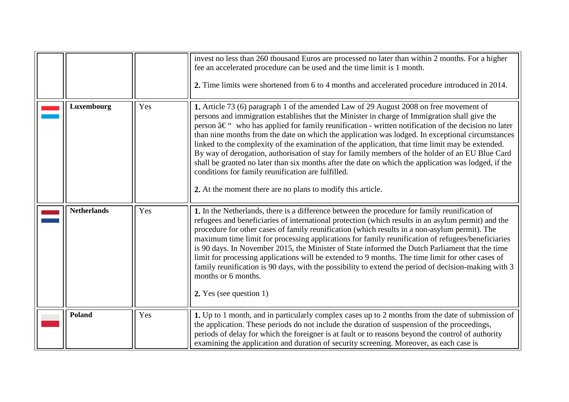<span id="page-6-2"></span><span id="page-6-1"></span><span id="page-6-0"></span>

|                    |     | invest no less than 260 thousand Euros are processed no later than within 2 months. For a higher<br>fee an accelerated procedure can be used and the time limit is 1 month.<br>2. Time limits were shortened from 6 to 4 months and accelerated procedure introduced in 2014.                                                                                                                                                                                                                                                                                                                                                                                                                                                                                                                                                                     |
|--------------------|-----|---------------------------------------------------------------------------------------------------------------------------------------------------------------------------------------------------------------------------------------------------------------------------------------------------------------------------------------------------------------------------------------------------------------------------------------------------------------------------------------------------------------------------------------------------------------------------------------------------------------------------------------------------------------------------------------------------------------------------------------------------------------------------------------------------------------------------------------------------|
| Luxembourg         | Yes | 1. Article 73 (6) paragraph 1 of the amended Law of 29 August 2008 on free movement of<br>persons and immigration establishes that the Minister in charge of Immigration shall give the<br>person $\hat{a}\in$ " who has applied for family reunification - written notification of the decision no later<br>than nine months from the date on which the application was lodged. In exceptional circumstances<br>linked to the complexity of the examination of the application, that time limit may be extended.<br>By way of derogation, authorisation of stay for family members of the holder of an EU Blue Card<br>shall be granted no later than six months after the date on which the application was lodged, if the<br>conditions for family reunification are fulfilled.<br>2. At the moment there are no plans to modify this article. |
| <b>Netherlands</b> | Yes | 1. In the Netherlands, there is a difference between the procedure for family reunification of<br>refugees and beneficiaries of international protection (which results in an asylum permit) and the<br>procedure for other cases of family reunification (which results in a non-asylum permit). The<br>maximum time limit for processing applications for family reunification of refugees/beneficiaries<br>is 90 days. In November 2015, the Minister of State informed the Dutch Parliament that the time<br>limit for processing applications will be extended to 9 months. The time limit for other cases of<br>family reunification is 90 days, with the possibility to extend the period of decision-making with 3<br>months or 6 months.<br>2. Yes (see question 1)                                                                      |
| Poland             | Yes | 1. Up to 1 month, and in particularly complex cases up to 2 months from the date of submission of<br>the application. These periods do not include the duration of suspension of the proceedings,<br>periods of delay for which the foreigner is at fault or to reasons beyond the control of authority<br>examining the application and duration of security screening. Moreover, as each case is                                                                                                                                                                                                                                                                                                                                                                                                                                                |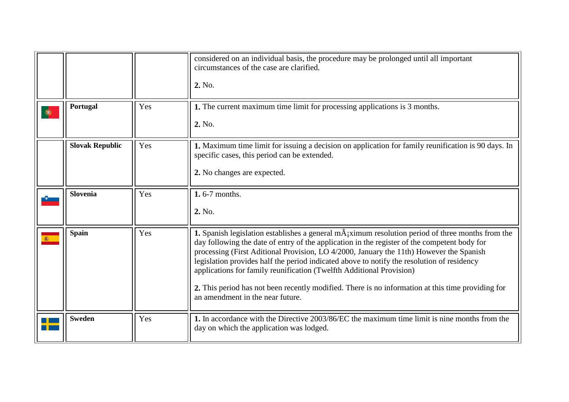<span id="page-7-4"></span><span id="page-7-3"></span><span id="page-7-2"></span><span id="page-7-1"></span><span id="page-7-0"></span>

|   |                        |     | considered on an individual basis, the procedure may be prolonged until all important<br>circumstances of the case are clarified.<br>2. No.                                                                                                                                                                                                                                                                                                                                                                                                                                                                           |
|---|------------------------|-----|-----------------------------------------------------------------------------------------------------------------------------------------------------------------------------------------------------------------------------------------------------------------------------------------------------------------------------------------------------------------------------------------------------------------------------------------------------------------------------------------------------------------------------------------------------------------------------------------------------------------------|
| ۱ | Portugal               | Yes | 1. The current maximum time limit for processing applications is 3 months.<br>2. No.                                                                                                                                                                                                                                                                                                                                                                                                                                                                                                                                  |
|   | <b>Slovak Republic</b> | Yes | <b>1.</b> Maximum time limit for issuing a decision on application for family reunification is 90 days. In<br>specific cases, this period can be extended.<br>2. No changes are expected.                                                                                                                                                                                                                                                                                                                                                                                                                             |
|   | <b>Slovenia</b>        | Yes | 1.6-7 months.<br>2. No.                                                                                                                                                                                                                                                                                                                                                                                                                                                                                                                                                                                               |
|   | <b>Spain</b>           | Yes | <b>1.</b> Spanish legislation establishes a general $mA_i$ ximum resolution period of three months from the<br>day following the date of entry of the application in the register of the competent body for<br>processing (First Aditional Provision, LO 4/2000, January the 11th) However the Spanish<br>legislation provides half the period indicated above to notify the resolution of residency<br>applications for family reunification (Twelfth Additional Provision)<br>2. This period has not been recently modified. There is no information at this time providing for<br>an amendment in the near future. |
|   | <b>Sweden</b>          | Yes | 1. In accordance with the Directive 2003/86/EC the maximum time limit is nine months from the<br>day on which the application was lodged.                                                                                                                                                                                                                                                                                                                                                                                                                                                                             |